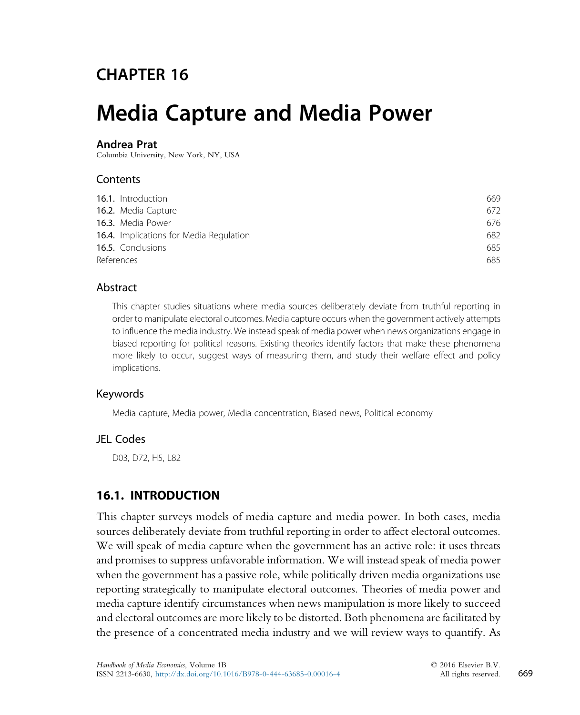## CHAPTER 16

# Media Capture and Media Power

### Andrea Prat

Columbia University, New York, NY, USA

#### **Contents**

| 16.1. Introduction                      | 669 |
|-----------------------------------------|-----|
| 16.2. Media Capture                     | 672 |
| 16.3. Media Power                       | 676 |
| 16.4. Implications for Media Regulation | 682 |
| 16.5. Conclusions                       | 685 |
| References                              | 685 |

#### Abstract

This chapter studies situations where media sources deliberately deviate from truthful reporting in order to manipulate electoral outcomes. Media capture occurs when the government actively attempts to influence the media industry. We instead speak of media power when news organizations engage in biased reporting for political reasons. Existing theories identify factors that make these phenomena more likely to occur, suggest ways of measuring them, and study their welfare effect and policy implications.

#### Keywords

Media capture, Media power, Media concentration, Biased news, Political economy

#### JEL Codes

D03, D72, H5, L82

### 16.1. INTRODUCTION

This chapter surveys models of media capture and media power. In both cases, media sources deliberately deviate from truthful reporting in order to affect electoral outcomes. We will speak of media capture when the government has an active role: it uses threats and promises to suppress unfavorable information. We will instead speak of media power when the government has a passive role, while politically driven media organizations use reporting strategically to manipulate electoral outcomes. Theories of media power and media capture identify circumstances when news manipulation is more likely to succeed and electoral outcomes are more likely to be distorted. Both phenomena are facilitated by the presence of a concentrated media industry and we will review ways to quantify. As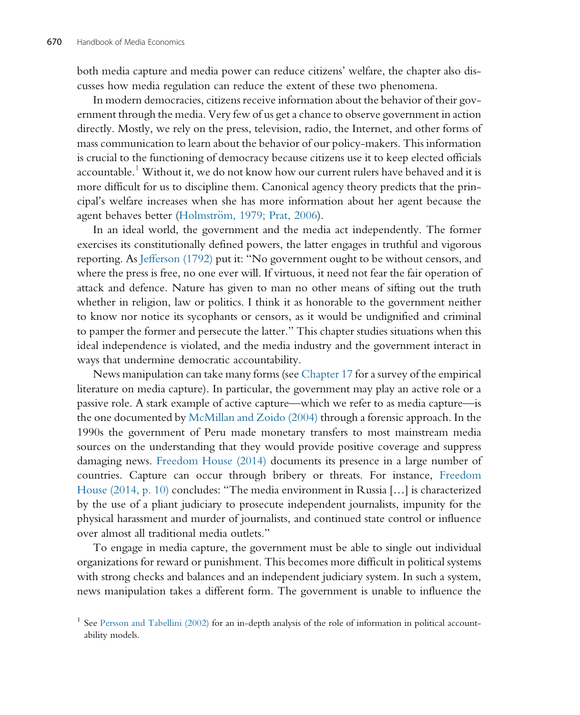both media capture and media power can reduce citizens' welfare, the chapter also discusses how media regulation can reduce the extent of these two phenomena.

In modern democracies, citizens receive information about the behavior of their government through the media. Very few of us get a chance to observe government in action directly. Mostly, we rely on the press, television, radio, the Internet, and other forms of mass communication to learn about the behavior of our policy-makers. This information is crucial to the functioning of democracy because citizens use it to keep elected officials accountable.<sup>1</sup> Without it, we do not know how our current rulers have behaved and it is more difficult for us to discipline them. Canonical agency theory predicts that the principal's welfare increases when she has more information about her agent because the agent behaves better (Holmström, 1979; Prat, 2006).

In an ideal world, the government and the media act independently. The former exercises its constitutionally defined powers, the latter engages in truthful and vigorous reporting. As [Jefferson \(1792\)](#page-17-0) put it: "No government ought to be without censors, and where the press is free, no one ever will. If virtuous, it need not fear the fair operation of attack and defence. Nature has given to man no other means of sifting out the truth whether in religion, law or politics. I think it as honorable to the government neither to know nor notice its sycophants or censors, as it would be undignified and criminal to pamper the former and persecute the latter." This chapter studies situations when this ideal independence is violated, and the media industry and the government interact in ways that undermine democratic accountability.

News manipulation can take many forms (see Chapter 17 for a survey of the empirical literature on media capture). In particular, the government may play an active role or a passive role. A stark example of active capture—which we refer to as media capture—is the one documented by [McMillan and Zoido \(2004\)](#page-17-0) through a forensic approach. In the 1990s the government of Peru made monetary transfers to most mainstream media sources on the understanding that they would provide positive coverage and suppress damaging news. [Freedom House \(2014\)](#page-17-0) documents its presence in a large number of countries. Capture can occur through bribery or threats. For instance, [Freedom](#page-17-0) [House \(2014, p. 10\)](#page-17-0) concludes: "The media environment in Russia […] is characterized by the use of a pliant judiciary to prosecute independent journalists, impunity for the physical harassment and murder of journalists, and continued state control or influence over almost all traditional media outlets."

To engage in media capture, the government must be able to single out individual organizations for reward or punishment. This becomes more difficult in political systems with strong checks and balances and an independent judiciary system. In such a system, news manipulation takes a different form. The government is unable to influence the

 $1$  See [Persson and Tabellini \(2002\)](#page-17-0) for an in-depth analysis of the role of information in political accountability models.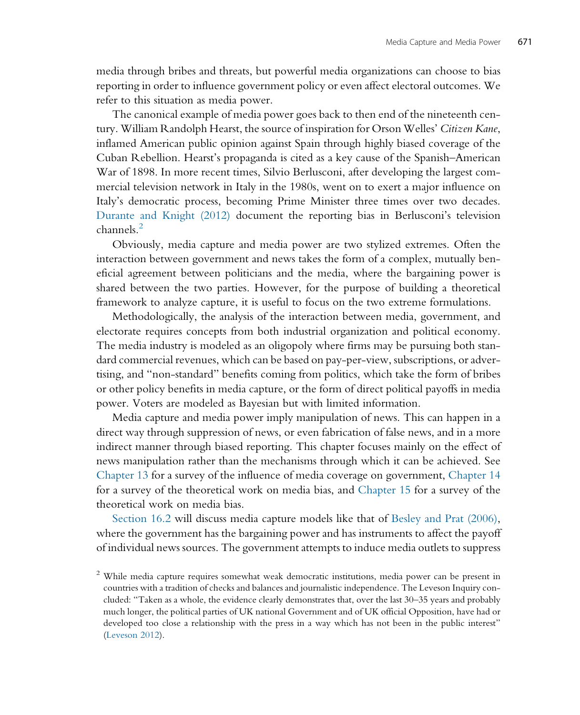media through bribes and threats, but powerful media organizations can choose to bias reporting in order to influence government policy or even affect electoral outcomes. We refer to this situation as media power.

The canonical example of media power goes back to then end of the nineteenth century. William Randolph Hearst, the source of inspiration for Orson Welles' Citizen Kane, inflamed American public opinion against Spain through highly biased coverage of the Cuban Rebellion. Hearst's propaganda is cited as a key cause of the Spanish–American War of 1898. In more recent times, Silvio Berlusconi, after developing the largest commercial television network in Italy in the 1980s, went on to exert a major influence on Italy's democratic process, becoming Prime Minister three times over two decades. [Durante and Knight \(2012\)](#page-17-0) document the reporting bias in Berlusconi's television channels.<sup>2</sup>

Obviously, media capture and media power are two stylized extremes. Often the interaction between government and news takes the form of a complex, mutually beneficial agreement between politicians and the media, where the bargaining power is shared between the two parties. However, for the purpose of building a theoretical framework to analyze capture, it is useful to focus on the two extreme formulations.

Methodologically, the analysis of the interaction between media, government, and electorate requires concepts from both industrial organization and political economy. The media industry is modeled as an oligopoly where firms may be pursuing both standard commercial revenues, which can be based on pay-per-view, subscriptions, or advertising, and "non-standard" benefits coming from politics, which take the form of bribes or other policy benefits in media capture, or the form of direct political payoffs in media power. Voters are modeled as Bayesian but with limited information.

Media capture and media power imply manipulation of news. This can happen in a direct way through suppression of news, or even fabrication of false news, and in a more indirect manner through biased reporting. This chapter focuses mainly on the effect of news manipulation rather than the mechanisms through which it can be achieved. See Chapter 13 for a survey of the influence of media coverage on government, Chapter 14 for a survey of the theoretical work on media bias, and Chapter 15 for a survey of the theoretical work on media bias.

[Section 16.2](#page-3-0) will discuss media capture models like that of [Besley and Prat \(2006\)](#page-16-0), where the government has the bargaining power and has instruments to affect the payoff of individual news sources. The government attempts to induce media outlets to suppress

<sup>&</sup>lt;sup>2</sup> While media capture requires somewhat weak democratic institutions, media power can be present in countries with a tradition of checks and balances and journalistic independence. The Leveson Inquiry concluded: "Taken as a whole, the evidence clearly demonstrates that, over the last 30–35 years and probably much longer, the political parties of UK national Government and of UK official Opposition, have had or developed too close a relationship with the press in a way which has not been in the public interest" [\(Leveson 2012](#page-17-0)).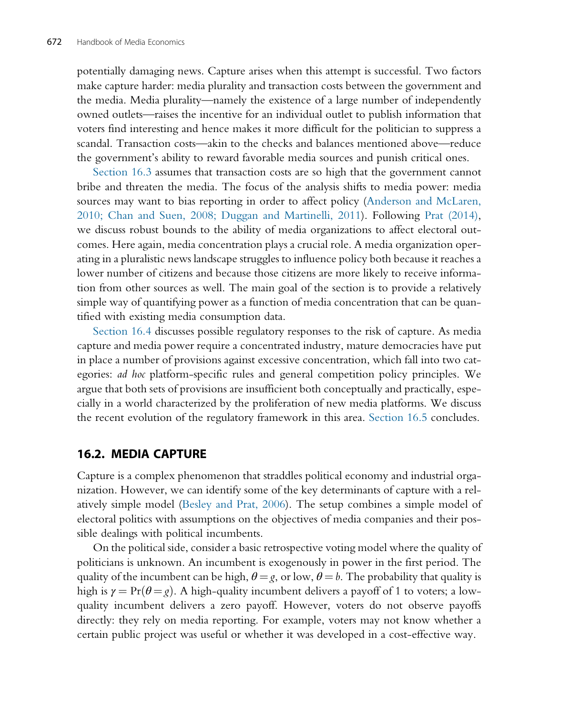<span id="page-3-0"></span>potentially damaging news. Capture arises when this attempt is successful. Two factors make capture harder: media plurality and transaction costs between the government and the media. Media plurality—namely the existence of a large number of independently owned outlets—raises the incentive for an individual outlet to publish information that voters find interesting and hence makes it more difficult for the politician to suppress a scandal. Transaction costs—akin to the checks and balances mentioned above—reduce the government's ability to reward favorable media sources and punish critical ones.

[Section 16.3](#page-7-0) assumes that transaction costs are so high that the government cannot bribe and threaten the media. The focus of the analysis shifts to media power: media sources may want to bias reporting in order to affect policy ([Anderson and McLaren,](#page-16-0) [2010; Chan and Suen, 2008; Duggan and Martinelli, 2011](#page-16-0)). Following [Prat \(2014\)](#page-17-0), we discuss robust bounds to the ability of media organizations to affect electoral outcomes. Here again, media concentration plays a crucial role. A media organization operating in a pluralistic news landscape struggles to influence policy both because it reaches a lower number of citizens and because those citizens are more likely to receive information from other sources as well. The main goal of the section is to provide a relatively simple way of quantifying power as a function of media concentration that can be quantified with existing media consumption data.

[Section 16.4](#page-13-0) discusses possible regulatory responses to the risk of capture. As media capture and media power require a concentrated industry, mature democracies have put in place a number of provisions against excessive concentration, which fall into two categories: *ad hoc* platform-specific rules and general competition policy principles. We argue that both sets of provisions are insufficient both conceptually and practically, especially in a world characterized by the proliferation of new media platforms. We discuss the recent evolution of the regulatory framework in this area. [Section 16.5](#page-16-0) concludes.

#### 16.2. MEDIA CAPTURE

Capture is a complex phenomenon that straddles political economy and industrial organization. However, we can identify some of the key determinants of capture with a relatively simple model ([Besley and Prat, 2006\)](#page-16-0). The setup combines a simple model of electoral politics with assumptions on the objectives of media companies and their possible dealings with political incumbents.

On the political side, consider a basic retrospective voting model where the quality of politicians is unknown. An incumbent is exogenously in power in the first period. The quality of the incumbent can be high,  $\theta = g$ , or low,  $\theta = b$ . The probability that quality is high is  $\gamma = \Pr(\theta = g)$ . A high-quality incumbent delivers a payoff of 1 to voters; a lowquality incumbent delivers a zero payoff. However, voters do not observe payoffs directly: they rely on media reporting. For example, voters may not know whether a certain public project was useful or whether it was developed in a cost-effective way.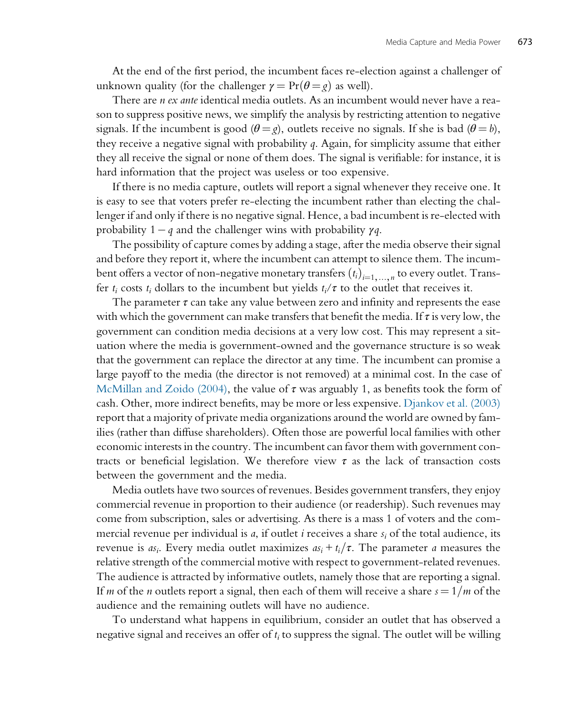At the end of the first period, the incumbent faces re-election against a challenger of unknown quality (for the challenger  $\gamma = \Pr(\theta = g)$  as well).

There are *n ex ante* identical media outlets. As an incumbent would never have a reason to suppress positive news, we simplify the analysis by restricting attention to negative signals. If the incumbent is good ( $\theta = g$ ), outlets receive no signals. If she is bad ( $\theta = b$ ), they receive a negative signal with probability  $q$ . Again, for simplicity assume that either they all receive the signal or none of them does. The signal is verifiable: for instance, it is hard information that the project was useless or too expensive.

If there is no media capture, outlets will report a signal whenever they receive one. It is easy to see that voters prefer re-electing the incumbent rather than electing the challenger if and only if there is no negative signal. Hence, a bad incumbent is re-elected with probability  $1-q$  and the challenger wins with probability  $\gamma q$ .<br>The possibility of capture comes by adding a stage, after the

The possibility of capture comes by adding a stage, after the media observe their signal and before they report it, where the incumbent can attempt to silence them. The incumbent offers a vector of non-negative monetary transfers  $(t_i)_{i=1,\ldots,n}$  to every outlet. Transfer  $t_i$  costs  $t_i$  dollars to the incumbent but yields  $t_i/\tau$  to the outlet that receives it.

The parameter  $\tau$  can take any value between zero and infinity and represents the ease with which the government can make transfers that benefit the media. If  $\tau$  is very low, the government can condition media decisions at a very low cost. This may represent a situation where the media is government-owned and the governance structure is so weak that the government can replace the director at any time. The incumbent can promise a large payoff to the media (the director is not removed) at a minimal cost. In the case of [McMillan and Zoido \(2004\),](#page-17-0) the value of  $\tau$  was arguably 1, as benefits took the form of cash. Other, more indirect benefits, may be more or less expensive. [Djankov et al. \(2003\)](#page-17-0) report that a majority of private media organizations around the world are owned by families (rather than diffuse shareholders). Often those are powerful local families with other economic interests in the country. The incumbent can favor them with government contracts or beneficial legislation. We therefore view  $\tau$  as the lack of transaction costs between the government and the media.

Media outlets have two sources of revenues. Besides government transfers, they enjoy commercial revenue in proportion to their audience (or readership). Such revenues may come from subscription, sales or advertising. As there is a mass 1 of voters and the commercial revenue per individual is a, if outlet i receives a share  $s_i$  of the total audience, its revenue is  $as_i$ . Every media outlet maximizes  $as_i + t_i/\tau$ . The parameter a measures the relative strength of the commercial motive with respect to government-related revenues. The audience is attracted by informative outlets, namely those that are reporting a signal. If m of the n outlets report a signal, then each of them will receive a share  $s = 1/m$  of the audience and the remaining outlets will have no audience.

To understand what happens in equilibrium, consider an outlet that has observed a negative signal and receives an offer of  $t_i$  to suppress the signal. The outlet will be willing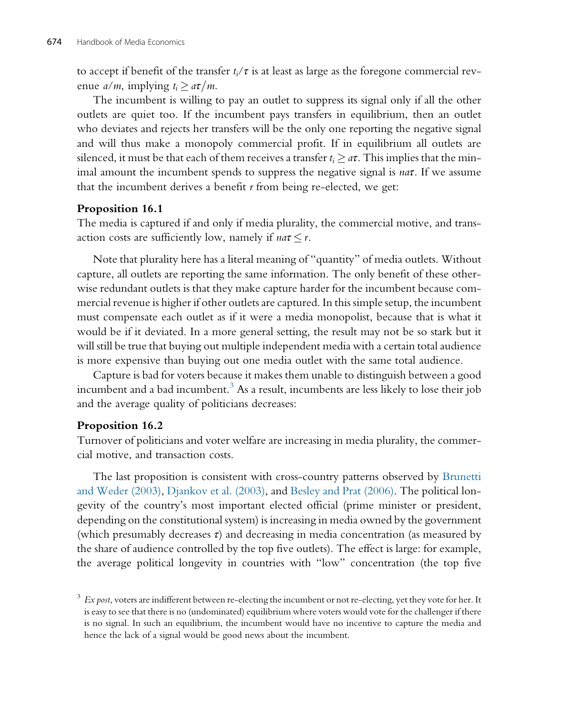to accept if benefit of the transfer  $t_i/\tau$  is at least as large as the foregone commercial revenue  $a/m$ , implying  $t_i \geq a\tau/m$ .

The incumbent is willing to pay an outlet to suppress its signal only if all the other outlets are quiet too. If the incumbent pays transfers in equilibrium, then an outlet who deviates and rejects her transfers will be the only one reporting the negative signal and will thus make a monopoly commercial profit. If in equilibrium all outlets are silenced, it must be that each of them receives a transfer  $t_i \geq a\tau$ . This implies that the minimal amount the incumbent spends to suppress the negative signal is  $n\pi$ . If we assume that the incumbent derives a benefit  $r$  from being re-elected, we get:

The media is captured if and only if media plurality, the commercial motive, and transaction costs are sufficiently low, namely if  $n a \tau \leq r$ .

Note that plurality here has a literal meaning of "quantity" of media outlets. Without capture, all outlets are reporting the same information. The only benefit of these otherwise redundant outlets is that they make capture harder for the incumbent because commercial revenue is higher if other outlets are captured. In this simple setup, the incumbent must compensate each outlet as if it were a media monopolist, because that is what it would be if it deviated. In a more general setting, the result may not be so stark but it will still be true that buying out multiple independent media with a certain total audience is more expensive than buying out one media outlet with the same total audience.

Capture is bad for voters because it makes them unable to distinguish between a good incumbent and a bad incumbent. $3$  As a result, incumbents are less likely to lose their job and the average quality of politicians decreases:

Turnover of politicians and voter welfare are increasing in media plurality, the commercial motive, and transaction costs.

The last proposition is consistent with cross-country patterns observed by [Brunetti](#page-16-0) [and Weder \(2003\)](#page-16-0), [Djankov et al. \(2003\),](#page-17-0) and [Besley and Prat \(2006\).](#page-16-0) The political longevity of the country's most important elected official (prime minister or president, depending on the constitutional system) is increasing in media owned by the government (which presumably decreases  $\tau$ ) and decreasing in media concentration (as measured by the share of audience controlled by the top five outlets). The effect is large: for example, the average political longevity in countries with "low" concentration (the top five

 $3$  Ex post, voters are indifferent between re-electing the incumbent or not re-electing, yet they vote for her. It is easy to see that there is no (undominated) equilibrium where voters would vote for the challenger if there is no signal. In such an equilibrium, the incumbent would have no incentive to capture the media and hence the lack of a signal would be good news about the incumbent.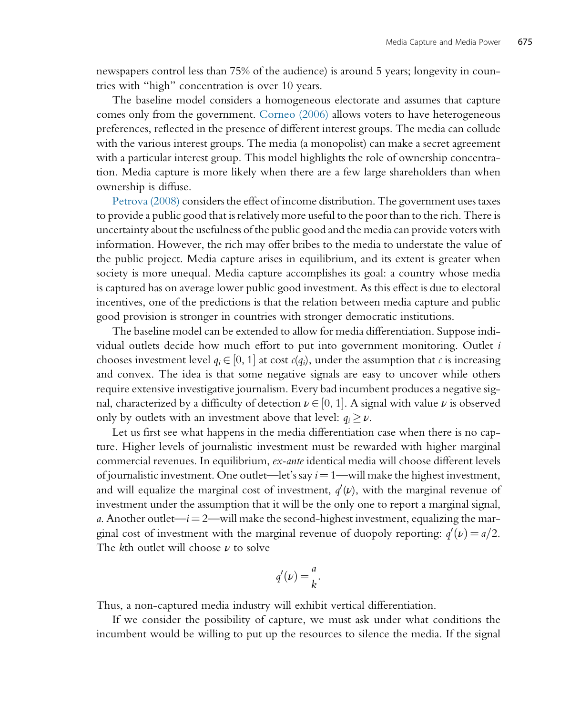newspapers control less than 75% of the audience) is around 5 years; longevity in countries with "high" concentration is over 10 years.

The baseline model considers a homogeneous electorate and assumes that capture comes only from the government. [Corneo \(2006\)](#page-17-0) allows voters to have heterogeneous preferences, reflected in the presence of different interest groups. The media can collude with the various interest groups. The media (a monopolist) can make a secret agreement with a particular interest group. This model highlights the role of ownership concentration. Media capture is more likely when there are a few large shareholders than when ownership is diffuse.

[Petrova \(2008\)](#page-17-0) considers the effect of income distribution. The government uses taxes to provide a public good that is relatively more useful to the poor than to the rich. There is uncertainty about the usefulness of the public good and the media can provide voters with information. However, the rich may offer bribes to the media to understate the value of the public project. Media capture arises in equilibrium, and its extent is greater when society is more unequal. Media capture accomplishes its goal: a country whose media is captured has on average lower public good investment. As this effect is due to electoral incentives, one of the predictions is that the relation between media capture and public good provision is stronger in countries with stronger democratic institutions.

The baseline model can be extended to allow for media differentiation. Suppose individual outlets decide how much effort to put into government monitoring. Outlet i chooses investment level  $q_i \in [0, 1]$  at cost  $c(q_i)$ , under the assumption that c is increasing<br>and convex. The idea is that some negative signals are easy to uncover while others and convex. The idea is that some negative signals are easy to uncover while others require extensive investigative journalism. Every bad incumbent produces a negative signal, characterized by a difficulty of detection  $\nu \in [0, 1]$ . A signal with value  $\nu$  is observed only by outlets with an investment above that level:  $q_i \geq \nu$ .

Let us first see what happens in the media differentiation case when there is no capture. Higher levels of journalistic investment must be rewarded with higher marginal commercial revenues. In equilibrium, ex-ante identical media will choose different levels of journalistic investment. One outlet—let's say  $i = 1$ —will make the highest investment, and will equalize the marginal cost of investment,  $q'(\nu)$ , with the marginal revenue of investment under the assumption that it will be the only one to report a marginal signal, a. Another outlet— $i = 2$ —will make the second-highest investment, equalizing the marginal cost of investment with the marginal revenue of duopoly reporting:  $q'(v) = a/2$ .<br>The kth outlet will choose u to solve The kth outlet will choose  $\nu$  to solve

$$
q'(\nu) = \frac{a}{k}.
$$

Thus, a non-captured media industry will exhibit vertical differentiation.

If we consider the possibility of capture, we must ask under what conditions the incumbent would be willing to put up the resources to silence the media. If the signal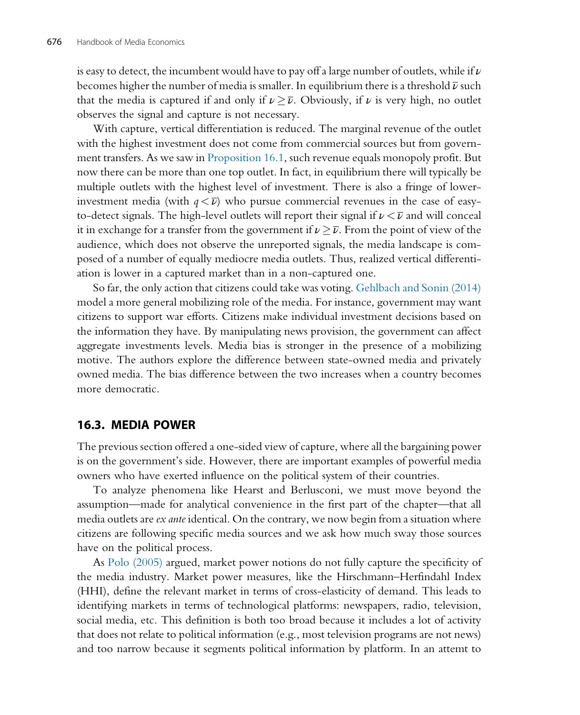<span id="page-7-0"></span>is easy to detect, the incumbent would have to pay off a large number of outlets, while if  $\nu$ becomes higher the number of media is smaller. In equilibrium there is a threshold  $\overline{\nu}$  such that the media is captured if and only if  $\nu \geq \overline{\nu}$ . Obviously, if  $\nu$  is very high, no outlet observes the signal and capture is not necessary.

With capture, vertical differentiation is reduced. The marginal revenue of the outlet with the highest investment does not come from commercial sources but from government transfers. As we saw in Proposition 16.1, such revenue equals monopoly profit. But now there can be more than one top outlet. In fact, in equilibrium there will typically be multiple outlets with the highest level of investment. There is also a fringe of lowerinvestment media (with  $q \leq \bar{\nu}$ ) who pursue commercial revenues in the case of easyto-detect signals. The high-level outlets will report their signal if  $\nu < \overline{\nu}$  and will conceal it in exchange for a transfer from the government if  $\nu \geq \overline{\nu}$ . From the point of view of the audience, which does not observe the unreported signals, the media landscape is composed of a number of equally mediocre media outlets. Thus, realized vertical differentiation is lower in a captured market than in a non-captured one.

So far, the only action that citizens could take was voting. [Gehlbach and Sonin \(2014\)](#page-17-0) model a more general mobilizing role of the media. For instance, government may want citizens to support war efforts. Citizens make individual investment decisions based on the information they have. By manipulating news provision, the government can affect aggregate investments levels. Media bias is stronger in the presence of a mobilizing motive. The authors explore the difference between state-owned media and privately owned media. The bias difference between the two increases when a country becomes more democratic.

#### 16.3. MEDIA POWER

The previous section offered a one-sided view of capture, where all the bargaining power is on the government's side. However, there are important examples of powerful media owners who have exerted influence on the political system of their countries.

To analyze phenomena like Hearst and Berlusconi, we must move beyond the assumption—made for analytical convenience in the first part of the chapter—that all media outlets are *ex ante* identical. On the contrary, we now begin from a situation where citizens are following specific media sources and we ask how much sway those sources have on the political process.

As [Polo \(2005\)](#page-17-0) argued, market power notions do not fully capture the specificity of the media industry. Market power measures, like the Hirschmann–Herfindahl Index (HHI), define the relevant market in terms of cross-elasticity of demand. This leads to identifying markets in terms of technological platforms: newspapers, radio, television, social media, etc. This definition is both too broad because it includes a lot of activity that does not relate to political information (e.g., most television programs are not news) and too narrow because it segments political information by platform. In an attemt to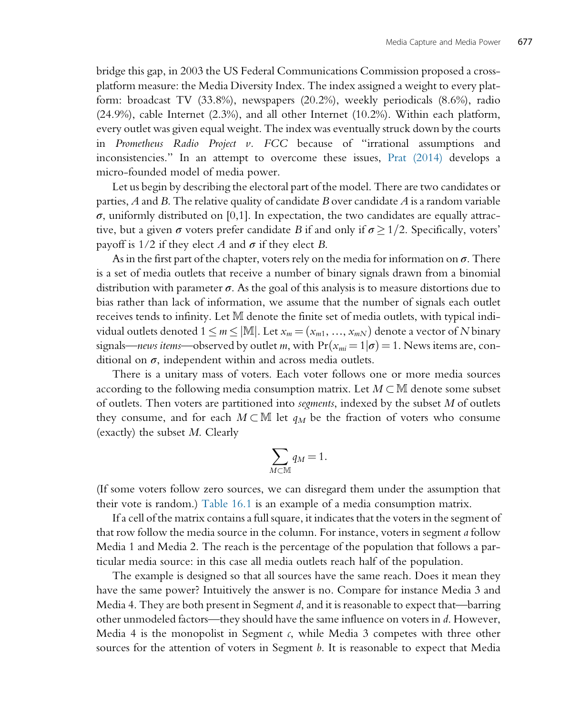bridge this gap, in 2003 the US Federal Communications Commission proposed a crossplatform measure: the Media Diversity Index. The index assigned a weight to every platform: broadcast TV (33.8%), newspapers (20.2%), weekly periodicals (8.6%), radio (24.9%), cable Internet (2.3%), and all other Internet (10.2%). Within each platform, every outlet was given equal weight. The index was eventually struck down by the courts in Prometheus Radio Project v. FCC because of "irrational assumptions and inconsistencies." In an attempt to overcome these issues, [Prat \(2014\)](#page-17-0) develops a micro-founded model of media power.

Let us begin by describing the electoral part of the model. There are two candidates or parties,  $A$  and  $B$ . The relative quality of candidate  $B$  over candidate  $A$  is a random variable  $\sigma$ , uniformly distributed on [0,1]. In expectation, the two candidates are equally attractive, but a given  $\sigma$  voters prefer candidate B if and only if  $\sigma \geq 1/2$ . Specifically, voters' payoff is  $1/2$  if they elect A and  $\sigma$  if they elect B.

As in the first part of the chapter, voters rely on the media for information on  $\sigma$ . There is a set of media outlets that receive a number of binary signals drawn from a binomial distribution with parameter  $\sigma$ . As the goal of this analysis is to measure distortions due to bias rather than lack of information, we assume that the number of signals each outlet receives tends to infinity. Let  $\mathbb M$  denote the finite set of media outlets, with typical individual outlets denoted  $1 \le m \le |\mathbb{M}|$ . Let  $x_m = (x_{m1}, ..., x_{mN})$  denote a vector of N binary signals—news items—observed by outlet m, with  $Pr(x_{mi} = 1 | \sigma) = 1$ . News items are, conditional on  $\sigma$ , independent within and across media outlets.

There is a unitary mass of voters. Each voter follows one or more media sources according to the following media consumption matrix. Let  $M \subset \mathbb{M}$  denote some subset of outlets. Then voters are partitioned into segments, indexed by the subset  $M$  of outlets they consume, and for each  $M \subset \mathbb{M}$  let  $q_M$  be the fraction of voters who consume (exactly) the subset M. Clearly

$$
\sum_{M\subset\mathbb{M}}q_M=1.
$$

(If some voters follow zero sources, we can disregard them under the assumption that their vote is random.) [Table 16.1](#page-9-0) is an example of a media consumption matrix.

If a cell of the matrix contains a full square, it indicates that the voters in the segment of that row follow the media source in the column. For instance, voters in segment a follow Media 1 and Media 2. The reach is the percentage of the population that follows a particular media source: in this case all media outlets reach half of the population.

The example is designed so that all sources have the same reach. Does it mean they have the same power? Intuitively the answer is no. Compare for instance Media 3 and Media 4. They are both present in Segment d, and it is reasonable to expect that—barring other unmodeled factors—they should have the same influence on voters in d. However, Media 4 is the monopolist in Segment  $c$ , while Media 3 competes with three other sources for the attention of voters in Segment b. It is reasonable to expect that Media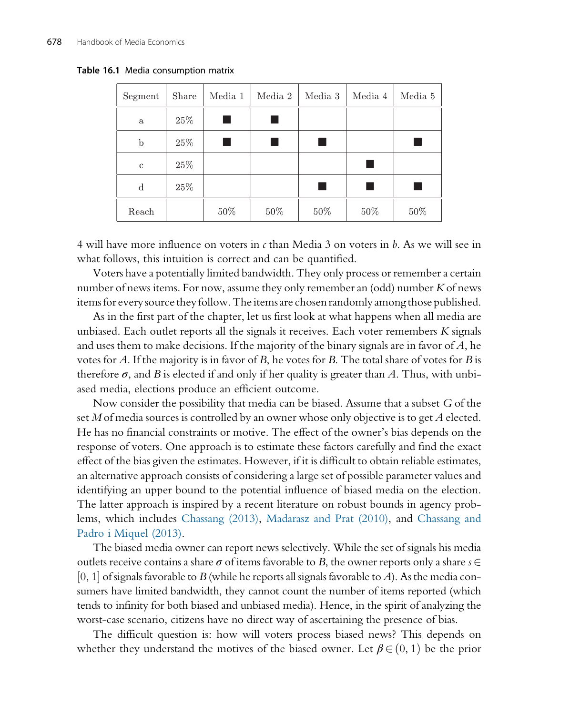| Segment      | Share  | Media 1 | Media 2 | Media 3 | Media 4 | Media 5 |
|--------------|--------|---------|---------|---------|---------|---------|
| $\mathbf{a}$ | 25%    |         |         |         |         |         |
| b            | 25%    |         |         |         |         |         |
| $\mathbf{c}$ | $25\%$ |         |         |         |         |         |
| d            | $25\%$ |         |         |         |         |         |
| Reach        |        | $50\%$  | 50%     | 50%     | 50%     | $50\%$  |

<span id="page-9-0"></span>Table 16.1 Media consumption matrix

4 will have more influence on voters in  $\epsilon$  than Media 3 on voters in b. As we will see in what follows, this intuition is correct and can be quantified.

Voters have a potentially limited bandwidth. They only process or remember a certain number of news items. For now, assume they only remember an (odd) number K of news items for every source they follow. The items are chosen randomly among those published.

As in the first part of the chapter, let us first look at what happens when all media are unbiased. Each outlet reports all the signals it receives. Each voter remembers  $K$  signals and uses them to make decisions. If the majority of the binary signals are in favor of  $A$ , he votes for A. If the majority is in favor of B, he votes for B. The total share of votes for B is therefore  $\sigma$ , and B is elected if and only if her quality is greater than A. Thus, with unbiased media, elections produce an efficient outcome.

Now consider the possibility that media can be biased. Assume that a subset G of the set M of media sources is controlled by an owner whose only objective is to get A elected. He has no financial constraints or motive. The effect of the owner's bias depends on the response of voters. One approach is to estimate these factors carefully and find the exact effect of the bias given the estimates. However, if it is difficult to obtain reliable estimates, an alternative approach consists of considering a large set of possible parameter values and identifying an upper bound to the potential influence of biased media on the election. The latter approach is inspired by a recent literature on robust bounds in agency problems, which includes [Chassang \(2013\)](#page-16-0), [Madarasz and Prat \(2010\),](#page-17-0) and [Chassang and](#page-16-0) [Padro i Miquel \(2013\)](#page-16-0).

The biased media owner can report news selectively. While the set of signals his media outlets receive contains a share  $\sigma$  of items favorable to B, the owner reports only a share  $s\in$  $[0, 1]$  of signals favorable to B (while he reports all signals favorable to A). As the media consumers have limited bandwidth, they cannot count the number of items reported (which tends to infinity for both biased and unbiased media). Hence, in the spirit of analyzing the worst-case scenario, citizens have no direct way of ascertaining the presence of bias.

The difficult question is: how will voters process biased news? This depends on whether they understand the motives of the biased owner. Let  $\beta \in (0, 1)$  be the prior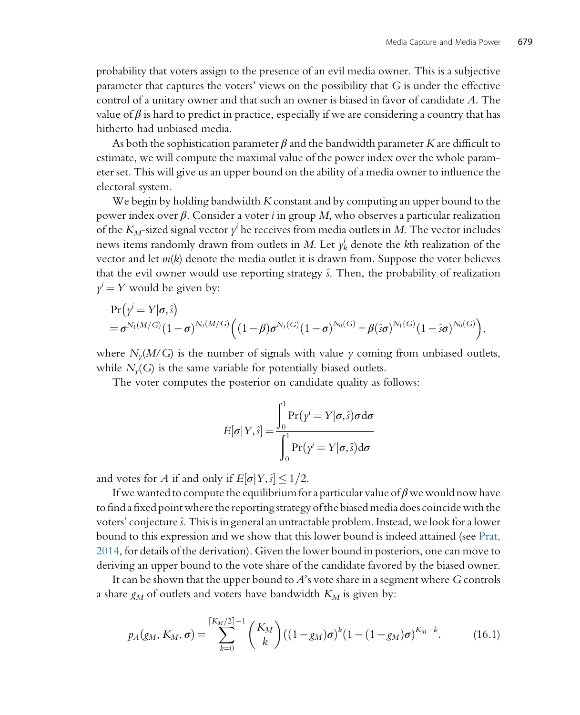<span id="page-10-0"></span>probability that voters assign to the presence of an evil media owner. This is a subjective parameter that captures the voters' views on the possibility that G is under the effective control of a unitary owner and that such an owner is biased in favor of candidate A. The value of  $\beta$  is hard to predict in practice, especially if we are considering a country that has hitherto had unbiased media.

As both the sophistication parameter  $\beta$  and the bandwidth parameter K are difficult to estimate, we will compute the maximal value of the power index over the whole parameter set. This will give us an upper bound on the ability of a media owner to influence the electoral system.

We begin by holding bandwidth K constant and by computing an upper bound to the power index over  $β$ . Consider a voter *i* in group *M*, who observes a particular realization of the  $K_M$ -sized signal vector  $\gamma^i$  he receives from media outlets in M. The vector includes news items randomly drawn from outlets in M. Let  $y_k^i$  denote the kth realization of the vector and let  $m(k)$  denote the media outlet it is drawn from. Suppose the voter believes that the evil owner would use reporting strategy  $\hat{s}$ . Then, the probability of realization  $y^i = Y$  would be given by:

$$
\Pr(\gamma^i = Y | \sigma, \hat{s})
$$
  
=  $\sigma^{N_1(M/G)}(1-\sigma)^{N_0(M/G)}((1-\beta)\sigma^{N_1(G)}(1-\sigma)^{N_0(G)} + \beta(\hat{s}\sigma)^{N_1(G)}(1-\hat{s}\sigma)^{N_0(G)}),$ 

where  $N_{\nu}(M/G)$  is the number of signals with value  $\gamma$  coming from unbiased outlets, while  $N_{\nu}(G)$  is the same variable for potentially biased outlets.

The voter computes the posterior on candidate quality as follows:

$$
E[\sigma|Y,\hat{s}] = \frac{\int_0^1 \Pr(y^i = Y | \sigma, \hat{s}) \sigma d\sigma}{\int_0^1 \Pr(y^i = Y | \sigma, \hat{s}) d\sigma}
$$

and votes for A if and only if  $E[\sigma|Y,\hat{s}] \leq 1/2$ .

If we wanted to compute the equilibrium for a particular value of  $\beta$  we would now have to find a fixed point where the reporting strategy of the biased media does coincide with the voters' conjecture  $\hat{s}$ . This is in general an untractable problem. Instead, we look for a lower bound to this expression and we show that this lower bound is indeed attained (see [Prat,](#page-17-0) [2014](#page-17-0), for details of the derivation). Given the lower bound in posteriors, one can move to deriving an upper bound to the vote share of the candidate favored by the biased owner.

It can be shown that the upper bound to  $A$ 's vote share in a segment where  $G$  controls a share  $g_M$  of outlets and voters have bandwidth  $K_M$  is given by:

$$
p_A(g_M, K_M, \sigma) = \sum_{k=0}^{\lceil K_M/2 \rceil - 1} {K_M \choose k} ((1 - g_M)\sigma)^k (1 - (1 - g_M)\sigma)^{K_M - k}.
$$
 (16.1)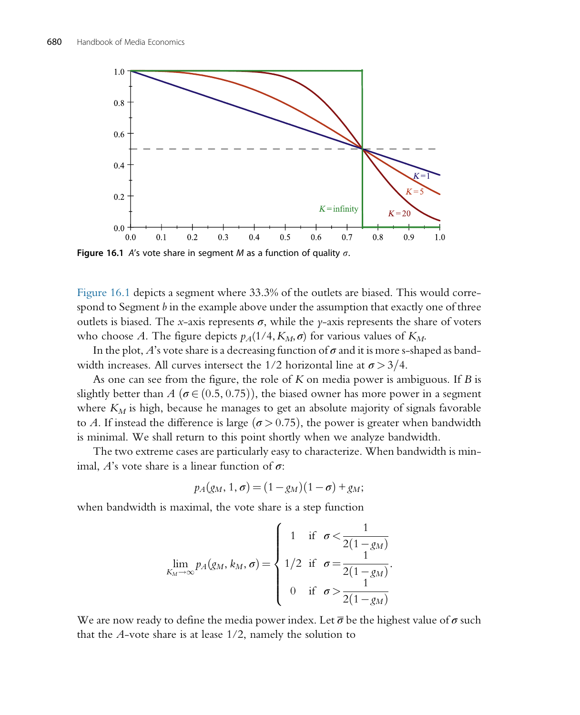

Figure 16.1 A's vote share in segment M as a function of quality  $\sigma$ .

Figure 16.1 depicts a segment where 33.3% of the outlets are biased. This would correspond to Segment  $b$  in the example above under the assumption that exactly one of three outlets is biased. The x-axis represents  $\sigma$ , while the y-axis represents the share of voters who choose A. The figure depicts  $p_A(1/4, K_M, \sigma)$  for various values of  $K_M$ .

In the plot, A's vote share is a decreasing function of  $\sigma$  and it is more s-shaped as bandwidth increases. All curves intersect the 1/2 horizontal line at  $\sigma > 3/4$ .

As one can see from the figure, the role of  $K$  on media power is ambiguous. If  $B$  is slightly better than  $A$  ( $\sigma \in (0.5, 0.75)$ ), the biased owner has more power in a segment where  $K_M$  is high, because he manages to get an absolute majority of signals favorable to A. If instead the difference is large  $(\sigma > 0.75)$ , the power is greater when bandwidth is minimal. We shall return to this point shortly when we analyze bandwidth.

The two extreme cases are particularly easy to characterize. When bandwidth is minimal, A's vote share is a linear function of  $\sigma$ :

$$
p_A(g_M, 1, \sigma) = (1 - g_M)(1 - \sigma) + g_M;
$$

when bandwidth is maximal, the vote share is a step function

$$
\lim_{K_M \to \infty} p_A(g_M, k_M, \sigma) = \begin{cases} 1 & \text{if } \sigma < \frac{1}{2(1 - g_M)} \\ 1/2 & \text{if } \sigma = \frac{1}{2(1 - g_M)} \\ 0 & \text{if } \sigma > \frac{1}{2(1 - g_M)} \end{cases}
$$

:

We are now ready to define the media power index. Let  $\overline{\sigma}$  be the highest value of  $\sigma$  such that the A-vote share is at lease 1/2, namely the solution to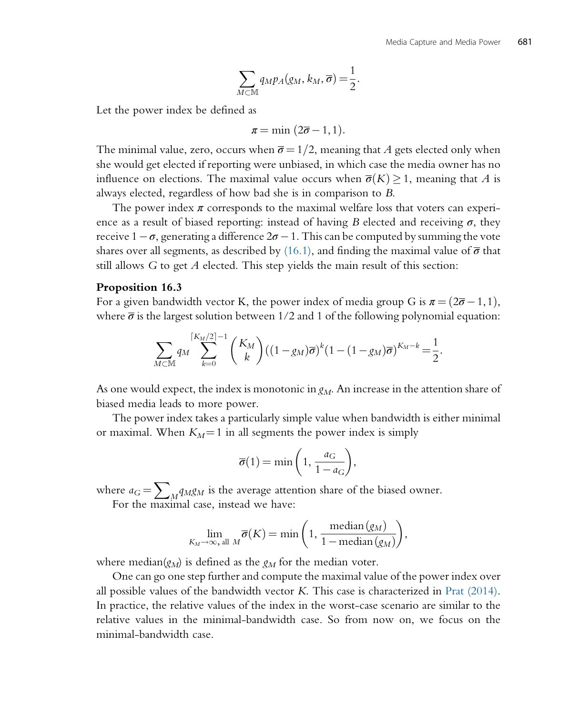$$
\sum_{M\subset\mathbb{M}}q_Mp_A(g_M,k_M,\overline{\sigma})=\frac{1}{2}.
$$

Let the power index be defined as

$$
\pi = \min (2\overline{\sigma} - 1, 1).
$$

The minimal value, zero, occurs when  $\bar{\sigma} = 1/2$ , meaning that A gets elected only when she would get elected if reporting were unbiased, in which case the media owner has no influence on elections. The maximal value occurs when  $\overline{\sigma}(K) \geq 1$ , meaning that A is always elected, regardless of how bad she is in comparison to B.

The power index  $\pi$  corresponds to the maximal welfare loss that voters can experience as a result of biased reporting: instead of having B elected and receiving  $\sigma$ , they receive  $1 - \sigma$ , generating a difference  $2\sigma - 1$ . This can be computed by summing the vote<br>shares over all segments, as described by (16.1), and finding the maximal value of  $\overline{\sigma}$  that shares over all segments, as described by [\(16.1\),](#page-10-0) and finding the maximal value of  $\bar{\sigma}$  that still allows  $G$  to get  $A$  elected. This step yields the main result of this section:

For a given bandwidth vector K, the power index of media group G is  $\pi = (2\overline{\sigma} - 1, 1)$ ,<br>where  $\overline{\pi}$  is the kroset solution between 1/2 and 1 of the following polynomial equation: where  $\bar{\sigma}$  is the largest solution between 1/2 and 1 of the following polynomial equation:

$$
\sum_{M \subset \mathbb{M}} q_M \sum_{k=0}^{\lceil K_M/2 \rceil - 1} {K_M \choose k} ((1 - g_M)\overline{\sigma})^k (1 - (1 - g_M)\overline{\sigma})^{K_M - k} = \frac{1}{2}.
$$

As one would expect, the index is monotonic in  $g_M$ . An increase in the attention share of biased media leads to more power.

The power index takes a particularly simple value when bandwidth is either minimal or maximal. When  $K_M = 1$  in all segments the power index is simply

$$
\overline{\sigma}(1) = \min\left(1, \frac{a_G}{1 - a_G}\right),\,
$$

where  $a_G = \sum_M q_M g_M$  is the average attention share of the biased owner. For the maximal case, instead we have:

$$
\lim_{K_M \to \infty, \text{ all } M} \overline{\sigma}(K) = \min\left(1, \frac{\text{median}(g_M)}{1 - \text{median}(g_M)}\right),
$$

where median( $g_M$ ) is defined as the  $g_M$  for the median voter.

One can go one step further and compute the maximal value of the power index over all possible values of the bandwidth vector  $K$ . This case is characterized in [Prat \(2014\)](#page-17-0). In practice, the relative values of the index in the worst-case scenario are similar to the relative values in the minimal-bandwidth case. So from now on, we focus on the minimal-bandwidth case.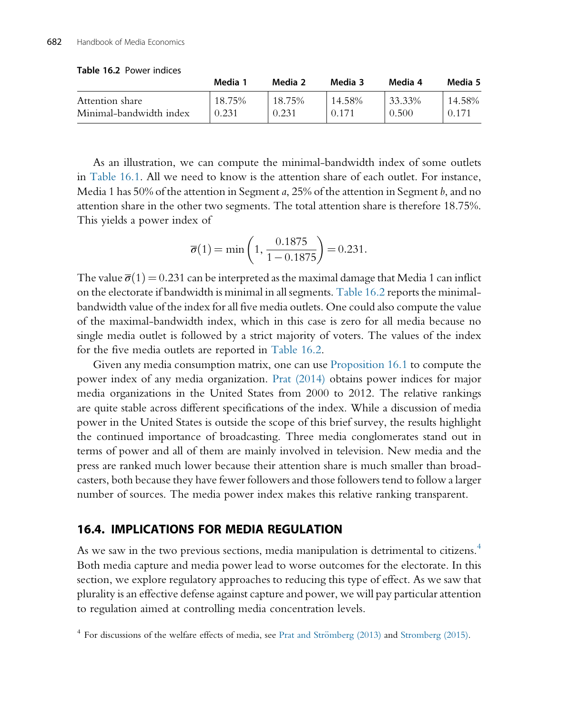|                         | Media  | Media 2 | Media 3 | Media 4 | Media 5 |
|-------------------------|--------|---------|---------|---------|---------|
| Attention share         | 18.75% | 18.75%  | 14.58%  | 33.33%  | 14.58%  |
| Minimal-bandwidth index | 0.231  | 0.231   | 0.171   | 0.500   | 0.171   |

<span id="page-13-0"></span>

| <b>Table 16.2 Power indices</b> |  |  |
|---------------------------------|--|--|
|---------------------------------|--|--|

As an illustration, we can compute the minimal-bandwidth index of some outlets in [Table 16.1](#page-9-0). All we need to know is the attention share of each outlet. For instance, Media 1 has 50% of the attention in Segment a, 25% of the attention in Segment b, and no attention share in the other two segments. The total attention share is therefore 18.75%. This yields a power index of

$$
\overline{\sigma}(1) = \min\left(1, \frac{0.1875}{1 - 0.1875}\right) = 0.231.
$$

The value  $\bar{\sigma}(1) = 0.231$  can be interpreted as the maximal damage that Media 1 can inflict on the electorate if bandwidth is minimal in all segments. Table 16.2 reports the minimalbandwidth value of the index for all five media outlets. One could also compute the value of the maximal-bandwidth index, which in this case is zero for all media because no single media outlet is followed by a strict majority of voters. The values of the index for the five media outlets are reported in Table 16.2.

Given any media consumption matrix, one can use Proposition 16.1 to compute the power index of any media organization. [Prat \(2014\)](#page-17-0) obtains power indices for major media organizations in the United States from 2000 to 2012. The relative rankings are quite stable across different specifications of the index. While a discussion of media power in the United States is outside the scope of this brief survey, the results highlight the continued importance of broadcasting. Three media conglomerates stand out in terms of power and all of them are mainly involved in television. New media and the press are ranked much lower because their attention share is much smaller than broadcasters, both because they have fewer followers and those followers tend to follow a larger number of sources. The media power index makes this relative ranking transparent.

#### 16.4. IMPLICATIONS FOR MEDIA REGULATION

As we saw in the two previous sections, media manipulation is detrimental to citizens.<sup>4</sup> Both media capture and media power lead to worse outcomes for the electorate. In this section, we explore regulatory approaches to reducing this type of effect. As we saw that plurality is an effective defense against capture and power, we will pay particular attention to regulation aimed at controlling media concentration levels.

<sup>&</sup>lt;sup>4</sup> For discussions of the welfare effects of media, see [Prat and Str](#page-17-0)ö[mberg \(2013\)](#page-17-0) and [Stromberg \(2015\)](#page-17-0).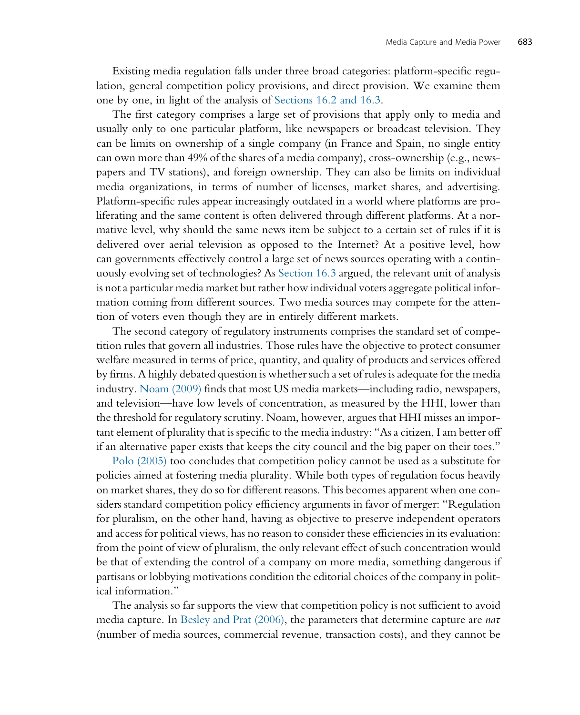Existing media regulation falls under three broad categories: platform-specific regulation, general competition policy provisions, and direct provision. We examine them one by one, in light of the analysis of [Sections 16.2 and 16.3.](#page-3-0)

The first category comprises a large set of provisions that apply only to media and usually only to one particular platform, like newspapers or broadcast television. They can be limits on ownership of a single company (in France and Spain, no single entity can own more than 49% of the shares of a media company), cross-ownership (e.g., newspapers and TV stations), and foreign ownership. They can also be limits on individual media organizations, in terms of number of licenses, market shares, and advertising. Platform-specific rules appear increasingly outdated in a world where platforms are proliferating and the same content is often delivered through different platforms. At a normative level, why should the same news item be subject to a certain set of rules if it is delivered over aerial television as opposed to the Internet? At a positive level, how can governments effectively control a large set of news sources operating with a continuously evolving set of technologies? As [Section 16.3](#page-7-0) argued, the relevant unit of analysis is not a particular media market but rather how individual voters aggregate political information coming from different sources. Two media sources may compete for the attention of voters even though they are in entirely different markets.

The second category of regulatory instruments comprises the standard set of competition rules that govern all industries. Those rules have the objective to protect consumer welfare measured in terms of price, quantity, and quality of products and services offered by firms. A highly debated question is whether such a set of rules is adequate for the media industry. [Noam \(2009\)](#page-17-0) finds that most US media markets—including radio, newspapers, and television—have low levels of concentration, as measured by the HHI, lower than the threshold for regulatory scrutiny. Noam, however, argues that HHI misses an important element of plurality that is specific to the media industry: "As a citizen, I am better off if an alternative paper exists that keeps the city council and the big paper on their toes."

[Polo \(2005\)](#page-17-0) too concludes that competition policy cannot be used as a substitute for policies aimed at fostering media plurality. While both types of regulation focus heavily on market shares, they do so for different reasons. This becomes apparent when one considers standard competition policy efficiency arguments in favor of merger: "Regulation for pluralism, on the other hand, having as objective to preserve independent operators and access for political views, has no reason to consider these efficiencies in its evaluation: from the point of view of pluralism, the only relevant effect of such concentration would be that of extending the control of a company on more media, something dangerous if partisans or lobbying motivations condition the editorial choices of the company in political information."

The analysis so far supports the view that competition policy is not sufficient to avoid media capture. In Besley and Prat  $(2006)$ , the parameters that determine capture are *nat* (number of media sources, commercial revenue, transaction costs), and they cannot be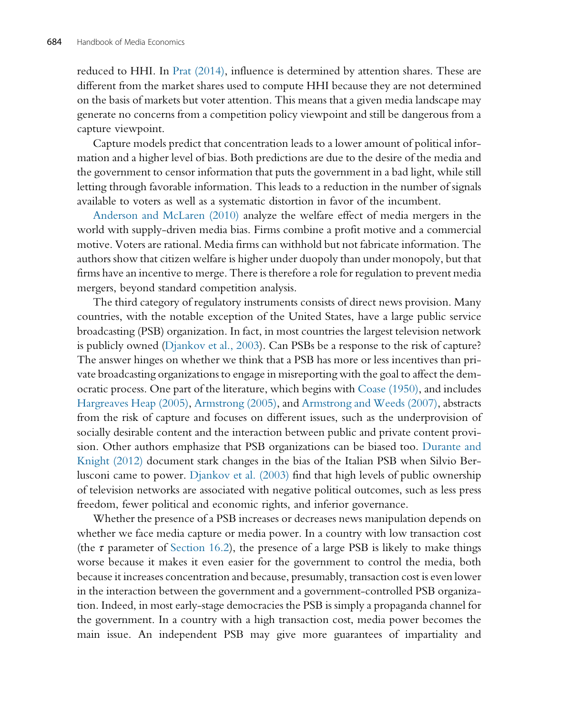reduced to HHI. In [Prat \(2014\)](#page-17-0), influence is determined by attention shares. These are different from the market shares used to compute HHI because they are not determined on the basis of markets but voter attention. This means that a given media landscape may generate no concerns from a competition policy viewpoint and still be dangerous from a capture viewpoint.

Capture models predict that concentration leads to a lower amount of political information and a higher level of bias. Both predictions are due to the desire of the media and the government to censor information that puts the government in a bad light, while still letting through favorable information. This leads to a reduction in the number of signals available to voters as well as a systematic distortion in favor of the incumbent.

[Anderson and McLaren \(2010\)](#page-16-0) analyze the welfare effect of media mergers in the world with supply-driven media bias. Firms combine a profit motive and a commercial motive. Voters are rational. Media firms can withhold but not fabricate information. The authors show that citizen welfare is higher under duopoly than under monopoly, but that firms have an incentive to merge. There is therefore a role for regulation to prevent media mergers, beyond standard competition analysis.

The third category of regulatory instruments consists of direct news provision. Many countries, with the notable exception of the United States, have a large public service broadcasting (PSB) organization. In fact, in most countries the largest television network is publicly owned ([Djankov et al., 2003\)](#page-17-0). Can PSBs be a response to the risk of capture? The answer hinges on whether we think that a PSB has more or less incentives than private broadcasting organizations to engage in misreporting with the goal to affect the democratic process. One part of the literature, which begins with [Coase \(1950\),](#page-17-0) and includes [Hargreaves Heap \(2005\),](#page-17-0) [Armstrong \(2005\),](#page-16-0) and [Armstrong and Weeds \(2007\),](#page-16-0) abstracts from the risk of capture and focuses on different issues, such as the underprovision of socially desirable content and the interaction between public and private content provision. Other authors emphasize that PSB organizations can be biased too. [Durante and](#page-17-0) [Knight \(2012\)](#page-17-0) document stark changes in the bias of the Italian PSB when Silvio Berlusconi came to power. [Djankov et al. \(2003\)](#page-17-0) find that high levels of public ownership of television networks are associated with negative political outcomes, such as less press freedom, fewer political and economic rights, and inferior governance.

Whether the presence of a PSB increases or decreases news manipulation depends on whether we face media capture or media power. In a country with low transaction cost (the  $\tau$  parameter of [Section 16.2](#page-3-0)), the presence of a large PSB is likely to make things worse because it makes it even easier for the government to control the media, both because it increases concentration and because, presumably, transaction cost is even lower in the interaction between the government and a government-controlled PSB organization. Indeed, in most early-stage democracies the PSB is simply a propaganda channel for the government. In a country with a high transaction cost, media power becomes the main issue. An independent PSB may give more guarantees of impartiality and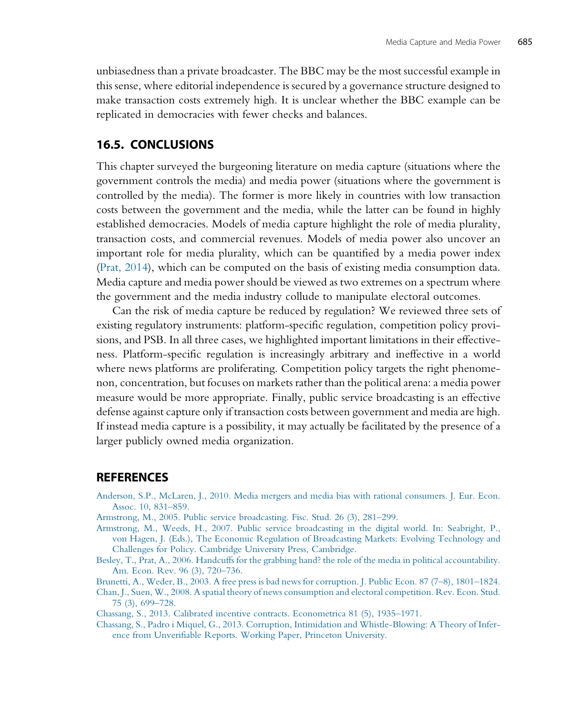<span id="page-16-0"></span>unbiasedness than a private broadcaster. The BBC may be the most successful example in this sense, where editorial independence is secured by a governance structure designed to make transaction costs extremely high. It is unclear whether the BBC example can be replicated in democracies with fewer checks and balances.

### 16.5. CONCLUSIONS

This chapter surveyed the burgeoning literature on media capture (situations where the government controls the media) and media power (situations where the government is controlled by the media). The former is more likely in countries with low transaction costs between the government and the media, while the latter can be found in highly established democracies. Models of media capture highlight the role of media plurality, transaction costs, and commercial revenues. Models of media power also uncover an important role for media plurality, which can be quantified by a media power index ([Prat, 2014\)](#page-17-0), which can be computed on the basis of existing media consumption data. Media capture and media power should be viewed as two extremes on a spectrum where the government and the media industry collude to manipulate electoral outcomes.

Can the risk of media capture be reduced by regulation? We reviewed three sets of existing regulatory instruments: platform-specific regulation, competition policy provisions, and PSB. In all three cases, we highlighted important limitations in their effectiveness. Platform-specific regulation is increasingly arbitrary and ineffective in a world where news platforms are proliferating. Competition policy targets the right phenomenon, concentration, but focuses on markets rather than the political arena: a media power measure would be more appropriate. Finally, public service broadcasting is an effective defense against capture only if transaction costs between government and media are high. If instead media capture is a possibility, it may actually be facilitated by the presence of a larger publicly owned media organization.

#### **REFERENCES**

- [Anderson, S.P., McLaren, J., 2010. Media mergers and media bias with rational consumers. J. Eur. Econ.](http://refhub.elsevier.com/B978-0-444-63685-0.00016-4/rf0010) [Assoc. 10, 831–859.](http://refhub.elsevier.com/B978-0-444-63685-0.00016-4/rf0010)
- [Armstrong, M., 2005. Public service broadcasting. Fisc. Stud. 26 \(3\), 281–299.](http://refhub.elsevier.com/B978-0-444-63685-0.00016-4/rf0015)
- [Armstrong, M., Weeds, H., 2007. Public service broadcasting in the digital world. In: Seabright, P.,](http://refhub.elsevier.com/B978-0-444-63685-0.00016-4/rf0020) [von Hagen, J. \(Eds.\), The Economic Regulation of Broadcasting Markets: Evolving Technology and](http://refhub.elsevier.com/B978-0-444-63685-0.00016-4/rf0020) [Challenges for Policy. Cambridge University Press, Cambridge.](http://refhub.elsevier.com/B978-0-444-63685-0.00016-4/rf0020)
- [Besley, T., Prat, A., 2006. Handcuffs for the grabbing hand? the role of the media in political accountability.](http://refhub.elsevier.com/B978-0-444-63685-0.00016-4/rf0035) [Am. Econ. Rev. 96 \(3\), 720–736.](http://refhub.elsevier.com/B978-0-444-63685-0.00016-4/rf0035)
- [Brunetti, A., Weder, B., 2003. A free press is bad news for corruption. J. Public Econ. 87 \(7–8\), 1801–1824.](http://refhub.elsevier.com/B978-0-444-63685-0.00016-4/rf0040)
- [Chan, J., Suen, W., 2008. A spatial theory of news consumption and electoral competition. Rev. Econ. Stud.](http://refhub.elsevier.com/B978-0-444-63685-0.00016-4/rf0045) [75 \(3\), 699–728.](http://refhub.elsevier.com/B978-0-444-63685-0.00016-4/rf0045)

[Chassang, S., 2013. Calibrated incentive contracts. Econometrica 81 \(5\), 1935–1971.](http://refhub.elsevier.com/B978-0-444-63685-0.00016-4/rf0050)

[Chassang, S., Padro i Miquel, G., 2013. Corruption, Intimidation and Whistle-Blowing: A Theory of Infer](http://refhub.elsevier.com/B978-0-444-63685-0.00016-4/rf0055)[ence from Unverifiable Reports. Working Paper, Princeton University.](http://refhub.elsevier.com/B978-0-444-63685-0.00016-4/rf0055)